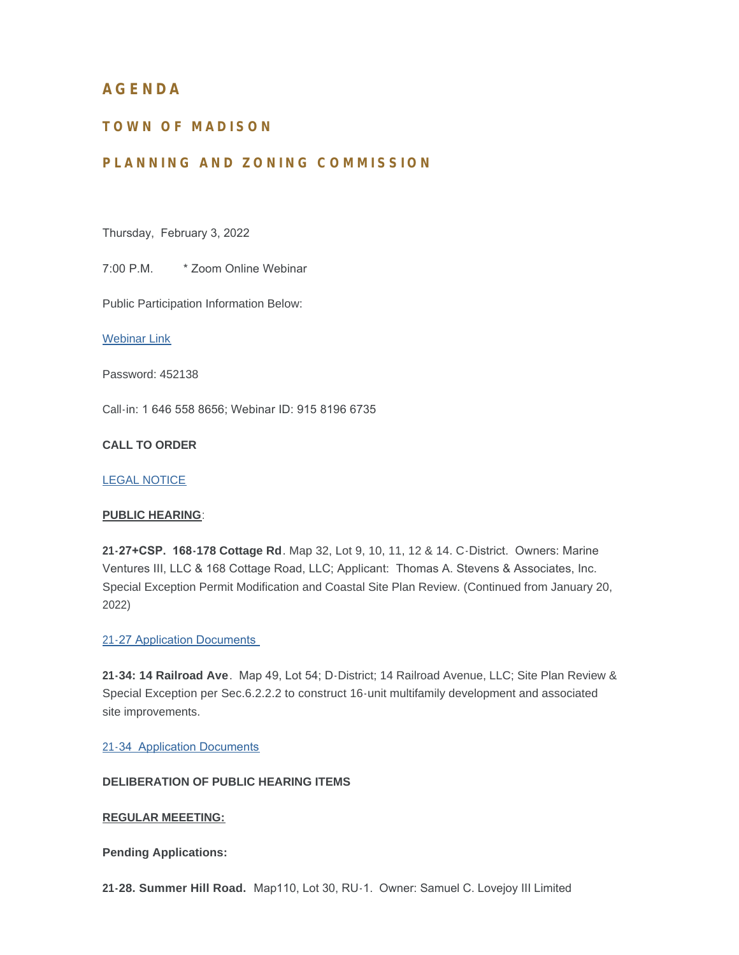# **AGENDA**

# **TOWN OF MADISON**

# **PLANNING AND ZONING COMMISSION**

Thursday, February 3, 2022

7:00 P.M. \* Zoom Online Webinar

Public Participation Information Below:

[Webinar Link](https://zoom.us/j/91581966735?pwd=aWpRaDdhb0syK0RPZkwxeTRCQURIZz09)

Password: 452138

Call-in: 1 646 558 8656; Webinar ID: 915 8196 6735

## **CALL TO ORDER**

#### [LEGAL NOTICE](https://www.madisonct.org/Archive.aspx?ADID=751)

#### **PUBLIC HEARING**:

**21-27+CSP. 168-178 Cottage Rd**. Map 32, Lot 9, 10, 11, 12 & 14. C-District. Owners: Marine Ventures III, LLC & 168 Cottage Road, LLC; Applicant: Thomas A. Stevens & Associates, Inc. Special Exception Permit Modification and Coastal Site Plan Review. (Continued from January 20, 2022)

#### 21-[27 Application Documents](https://www.madisonct.org/DocumentCenter/Index/590)

**21-34: 14 Railroad Ave**. Map 49, Lot 54; D-District; 14 Railroad Avenue, LLC; Site Plan Review & Special Exception per Sec.6.2.2.2 to construct 16-unit multifamily development and associated site improvements.

21-[34 Application Documents](https://www.madisonct.org/DocumentCenter/Index/618)

### **DELIBERATION OF PUBLIC HEARING ITEMS**

#### **REGULAR MEEETING:**

**Pending Applications:**

**21-28. Summer Hill Road.** Map110, Lot 30, RU-1. Owner: Samuel C. Lovejoy III Limited